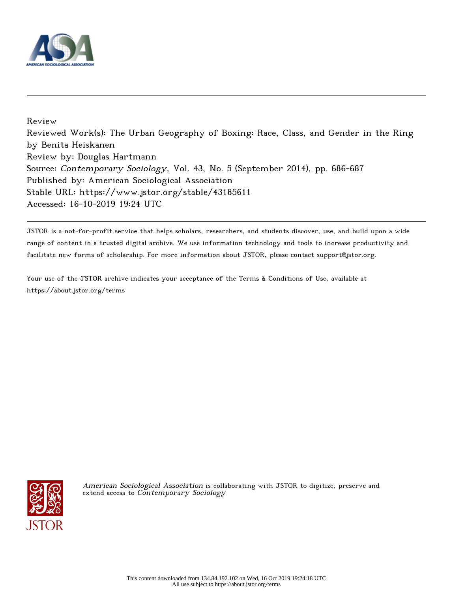

Review Reviewed Work(s): The Urban Geography of Boxing: Race, Class, and Gender in the Ring by Benita Heiskanen Review by: Douglas Hartmann Source: Contemporary Sociology, Vol. 43, No. 5 (September 2014), pp. 686-687 Published by: American Sociological Association Stable URL: https://www.jstor.org/stable/43185611 Accessed: 16-10-2019 19:24 UTC

JSTOR is a not-for-profit service that helps scholars, researchers, and students discover, use, and build upon a wide range of content in a trusted digital archive. We use information technology and tools to increase productivity and facilitate new forms of scholarship. For more information about JSTOR, please contact support@jstor.org.

Your use of the JSTOR archive indicates your acceptance of the Terms & Conditions of Use, available at https://about.jstor.org/terms



American Sociological Association is collaborating with JSTOR to digitize, preserve and extend access to Contemporary Sociology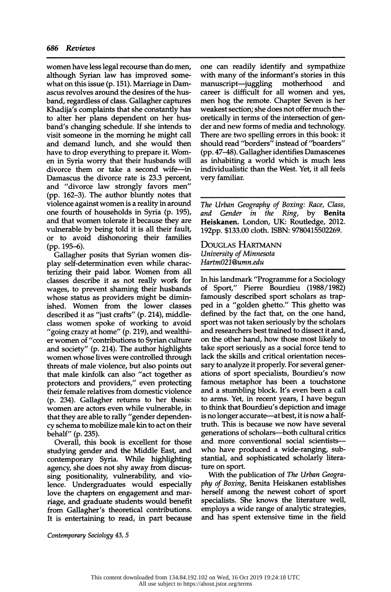women have less legal recourse than do men, although Syrian law has improved some what on this issue (p. 151). Marriage in Dam ascus revolves around the desires of the hus band, regardless of class. Gallagher captures Khadija's complaints that she constantly has to alter her plans dependent on her hus band's changing schedule. If she intends to visit someone in the morning he might call and demand lunch, and she would then have to drop everything to prepare it. Wom en in Syria worry that their husbands will divorce them or take a second wife-in Damascus the divorce rate is 23.3 percent, and "divorce law strongly favors men" (pp. 162-3). The author bluntly notes that violence against women is a reality in around one fourth of households in Syria (p. 195),  $and$  and that women tolerate it because they are vulnerable by being told it is all their fault, or to avoid dishonoring their families (pp. 195-6).

 Gallagher posits that Syrian women dis play self-determination even while charac terizing their paid labor. Women from all classes describe it as not really work for wages, to prevent shaming their husbands whose status as providers might be dimin ished. Women from the lower classes described it as "just crafts" (p. 214), middle class women spoke of working to avoid "going crazy at home" (p. 219), and wealthi er women of "contributions to Syrian culture and society" (p. 214). The author highlights women whose lives were controlled through threats of male violence, but also points out that male kinfolk can also "act together as protectors and providers," even protecting their female relatives from domestic violence (p. 234). Gallagher returns to her thesis: women are actors even while vulnerable, in that they are able to rally "gender dependen cy schema to mobilize male kin to act on their behalf" (p. 235).

 Overall, this book is excellent for those studying gender and the Middle East, and contemporary Syria. While highlighting agency, she does not shy away from discus sing positionality, vulnerability, and vio lence. Undergraduates would especially love the chapters on engagement and mar riage, and graduate students would benefit from Gallagher's theoretical contributions. It is entertaining to read, in part because

 one can readily identify and sympathize with many of the informant's stories in this<br>manuscript—juggling motherhood and manuscript-juggling career is difficult for all women and yes, men hog the remote. Chapter Seven is her weakest section; she does not offer much the oretically in terms of the intersection of gen der and new forms of media and technology. There are two spelling errors in this book: it should read "borders" instead of "boarders" (pp. 47-48). Gallagher identifies Damascenes as inhabiting a world which is much less individualistic than the West. Yet, it all feels very familiar.

The Urban Geography of Boxing: Race, Class, Gender in the Ring, by Benita Heiskanen. London, UK: Routledge, 2012. 192pp. \$133.00 cloth. ISBN: 9780415502269.

 Douglas Hartmann University of Minnesota Hartm021@umn.edu

 In his landmark "Programme for a Sociology of Sport," Pierre Bourdieu (1988/1982) famously described sport scholars as trap ped in a "golden ghetto." This ghetto was defined by the fact that, on the one hand, sport was not taken seriously by the scholars and researchers best trained to dissect it and, on the other hand, how those most likely to take sport seriously as a social force tend to lack the skills and critical orientation neces sary to analyze it properly. For several gener ations of sport specialists, Bourdieu's now famous metaphor has been a touchstone and a stumbling block. It's even been a call to arms. Yet, in recent years, I have begun to think that Bourdieu's depiction and image is no longer accurate—at best, it is now a half truth. This is because we now have several generations of scholars-both cultural critics and more conventional social scientists who have produced a wide-ranging, sub stantial, and sophisticated scholarly litera ture on sport.

 With the publication of The Urban Geogra phy of Boxing, Benita Heiskanen establishes herself among the newest cohort of sport specialists. She knows the literature well, employs a wide range of analytic strategies, and has spent extensive time in the field

Contemporary Sociology 43, 5